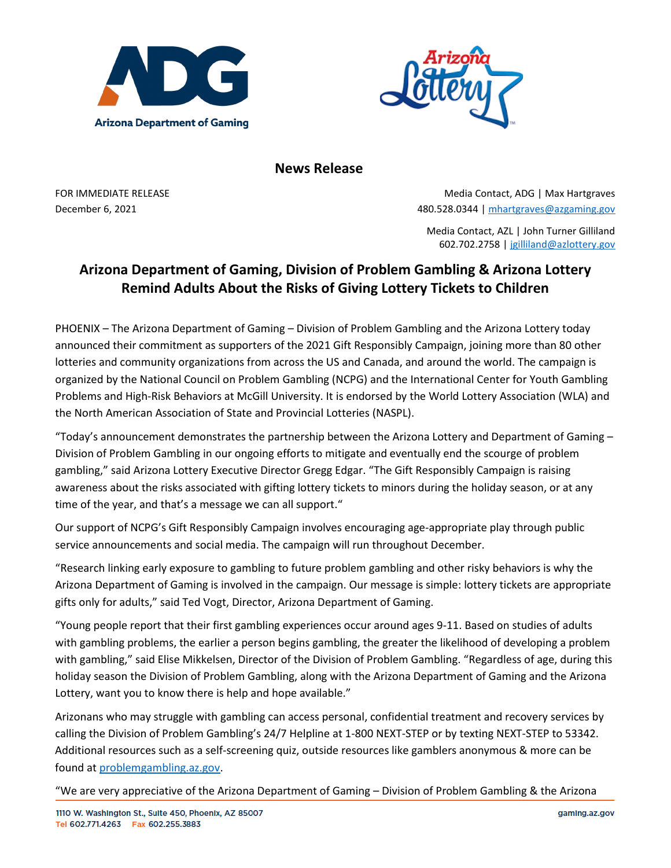



**News Release**

FOR IMMEDIATE RELEASE **Media Contact, ADG | Max Hartgraves** Media Contact, ADG | Max Hartgraves December 6, 2021 480.528.0344 | [mhartgraves@azgaming.gov](mailto:mhartgraves@azgaming.gov)

> Media Contact, AZL | John Turner Gilliland 602.702.2758 | [jgilliland@azlottery.gov](mailto:jgilliland@azlottery.gov)

# **Arizona Department of Gaming, Division of Problem Gambling & Arizona Lottery Remind Adults About the Risks of Giving Lottery Tickets to Children**

PHOENIX – The Arizona Department of Gaming – Division of Problem Gambling and the Arizona Lottery today announced their commitment as supporters of the 2021 Gift Responsibly Campaign, joining more than 80 other lotteries and community organizations from across the US and Canada, and around the world. The campaign is organized by the National Council on Problem Gambling (NCPG) and the International Center for Youth Gambling Problems and High-Risk Behaviors at McGill University. It is endorsed by the World Lottery Association (WLA) and the North American Association of State and Provincial Lotteries (NASPL).

"Today's announcement demonstrates the partnership between the Arizona Lottery and Department of Gaming  $-$ Division of Problem Gambling in our ongoing efforts to mitigate and eventually end the scourge of problem gambling," said Arizona Lottery Executive Director Gregg Edgar. "The Gift Responsibly Campaign is raising awareness about the risks associated with gifting lottery tickets to minors during the holiday season, or at any time of the year, and that's a message we can all support."

Our support of NCPG's Gift Responsibly Campaign involves encouraging age-appropriate play through public service announcements and social media. The campaign will run throughout December.

"Research linking early exposure to gambling to future problem gambling and other risky behaviors is why the Arizona Department of Gaming is involved in the campaign. Our message is simple: lottery tickets are appropriate gifts only for adults," said Ted Vogt, Director, Arizona Department of Gaming.

"Young people report that their first gambling experiences occur around ages 9-11. Based on studies of adults with gambling problems, the earlier a person begins gambling, the greater the likelihood of developing a problem with gambling," said Elise Mikkelsen, Director of the Division of Problem Gambling. "Regardless of age, during this holiday season the Division of Problem Gambling, along with the Arizona Department of Gaming and the Arizona Lottery, want you to know there is help and hope available."

Arizonans who may struggle with gambling can access personal, confidential treatment and recovery services by calling the Division of Problem Gambling's 24/7 Helpline at 1-800 NEXT-STEP or by texting NEXT-STEP to 53342. Additional resources such as a self-screening quiz, outside resources like gamblers anonymous & more can be found at [problemgambling.az.gov.](http://problemgambling.az.gov/)

"We are very appreciative of the Arizona Department of Gaming – Division of Problem Gambling & the Arizona